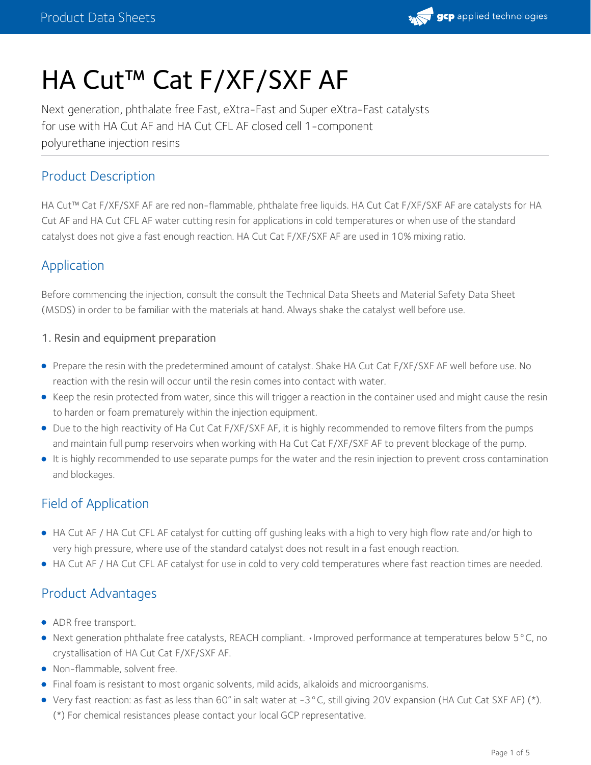

# HA Cut™ Cat F/XF/SXF AF

Next generation, phthalate free Fast, eXtra-Fast and Super eXtra-Fast catalysts for use with HA Cut AF and HA Cut CFL AF closed cell 1-component polyurethane injection resins

# Product Description

HA Cut™ Cat F/XF/SXF AF are red non-flammable, phthalate free liquids. HA Cut Cat F/XF/SXF AF are catalysts for HA Cut AF and HA Cut CFL AF water cutting resin for applications in cold temperatures or when use of the standard catalyst does not give a fast enough reaction. HA Cut Cat F/XF/SXF AF are used in 10% mixing ratio.

# Application

Before commencing the injection, consult the consult the Technical Data Sheets and Material Safety Data Sheet (MSDS) in order to be familiar with the materials at hand. Always shake the catalyst well before use.

### 1. Resin and equipment preparation

- Prepare the resin with the predetermined amount of catalyst. Shake HA Cut Cat F/XF/SXF AF well before use. No reaction with the resin will occur until the resin comes into contact with water.
- Keep the resin protected from water, since this will trigger a reaction in the container used and might cause the resin to harden or foam prematurely within the injection equipment.
- Due to the high reactivity of Ha Cut Cat F/XF/SXF AF, it is highly recommended to remove filters from the pumps and maintain full pump reservoirs when working with Ha Cut Cat F/XF/SXF AF to prevent blockage of the pump.
- It is highly recommended to use separate pumps for the water and the resin injection to prevent cross contamination and blockages.

# Field of Application

- HA Cut AF / HA Cut CFL AF catalyst for cutting off gushing leaks with a high to very high flow rate and/or high to very high pressure, where use of the standard catalyst does not result in a fast enough reaction.
- HA Cut AF / HA Cut CFL AF catalyst for use in cold to very cold temperatures where fast reaction times are needed.

# Product Advantages

- ADR free transport.
- Next generation phthalate free catalysts, REACH compliant. •Improved performance at temperatures below 5°C, no crystallisation of HA Cut Cat F/XF/SXF AF.
- Non-flammable, solvent free.
- Final foam is resistant to most organic solvents, mild acids, alkaloids and microorganisms.
- Very fast reaction: as fast as less than 60" in salt water at -3°C, still giving 20V expansion (HA Cut Cat SXF AF) (\*). (\*) For chemical resistances please contact your local GCP representative.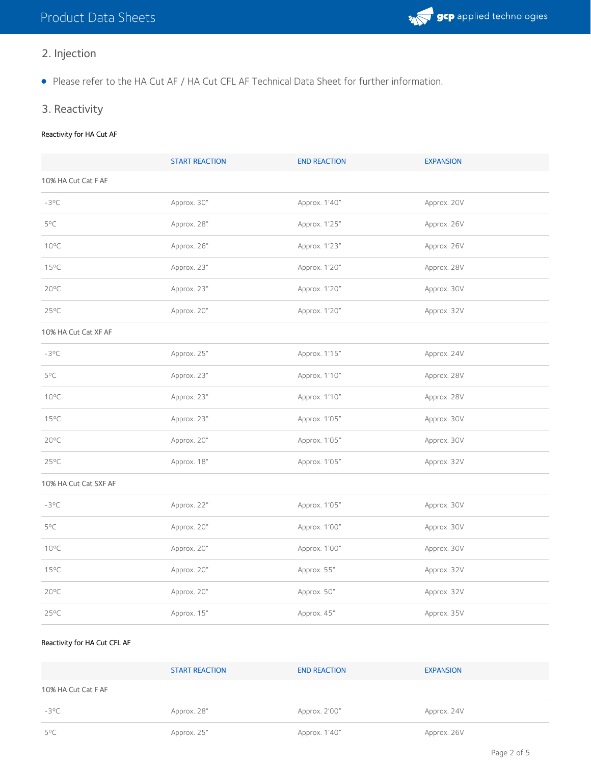

- 2. Injection
- Please refer to the HA Cut AF / HA Cut CFL AF Technical Data Sheet for further information.
- 3. Reactivity

### Reactivity for HA Cut AF

|                       | <b>START REACTION</b> | <b>END REACTION</b> | <b>EXPANSION</b> |  |
|-----------------------|-----------------------|---------------------|------------------|--|
| 10% HA Cut Cat F AF   |                       |                     |                  |  |
| $-3^{\circ}C$         | Approx. 30"           | Approx. 1'40"       | Approx. 20V      |  |
| 5°C                   | Approx. 28"           | Approx. 1'25"       | Approx. 26V      |  |
| $10^{\circ}$ C        | Approx. 26"           | Approx. 1'23"       | Approx. 26V      |  |
| $15^{\circ}$ C        | Approx. 23"           | Approx. 1'20"       | Approx. 28V      |  |
| $20^{\circ}$ C        | Approx. 23"           | Approx. 1'20"       | Approx. 30V      |  |
| $25^{\circ}$ C        | Approx. 20"           | Approx. 1'20"       | Approx. 32V      |  |
| 10% HA Cut Cat XF AF  |                       |                     |                  |  |
| $-3^{\circ}C$         | Approx. 25"           | Approx. 1'15"       | Approx. 24V      |  |
| $5^{\circ}$ C         | Approx. 23"           | Approx. 1'10"       | Approx. 28V      |  |
| $10^{\circ}$ C        | Approx. 23"           | Approx. 1'10"       | Approx. 28V      |  |
| $15^{\circ}$ C        | Approx. 23"           | Approx. 1'05"       | Approx. 30V      |  |
| $20^{\circ}$ C        | Approx. 20"           | Approx. 1'05"       | Approx. 30V      |  |
| $25^{\circ}$ C        | Approx. 18"           | Approx. 1'05"       | Approx. 32V      |  |
| 10% HA Cut Cat SXF AF |                       |                     |                  |  |
| $-3^{\circ}C$         | Approx. 22"           | Approx. 1'05"       | Approx. 30V      |  |
| 5°C                   | Approx. 20"           | Approx. 1'00"       | Approx. 30V      |  |
| $10^{\circ}$ C        | Approx. 20"           | Approx. 1'00"       | Approx. 30V      |  |
| $15^{\circ}$ C        | Approx. 20"           | Approx. 55"         | Approx. 32V      |  |
| $20^{\circ}$ C        | Approx. 20"           | Approx. 50"         | Approx. 32V      |  |
| $25^{\circ}$ C        | Approx. 15"           | Approx. 45"         | Approx. 35V      |  |

#### Reactivity for HA Cut CFL AF

|                     | <b>START REACTION</b> | <b>END REACTION</b> | <b>EXPANSION</b> |
|---------------------|-----------------------|---------------------|------------------|
| 10% HA Cut Cat F AF |                       |                     |                  |
| $-3^{\circ}$ C      | Approx. 28"           | Approx. 2'00"       | Approx. 24V      |
| $5^{\circ}$ C       | Approx. 25"           | Approx. 1'40"       | Approx. 26V      |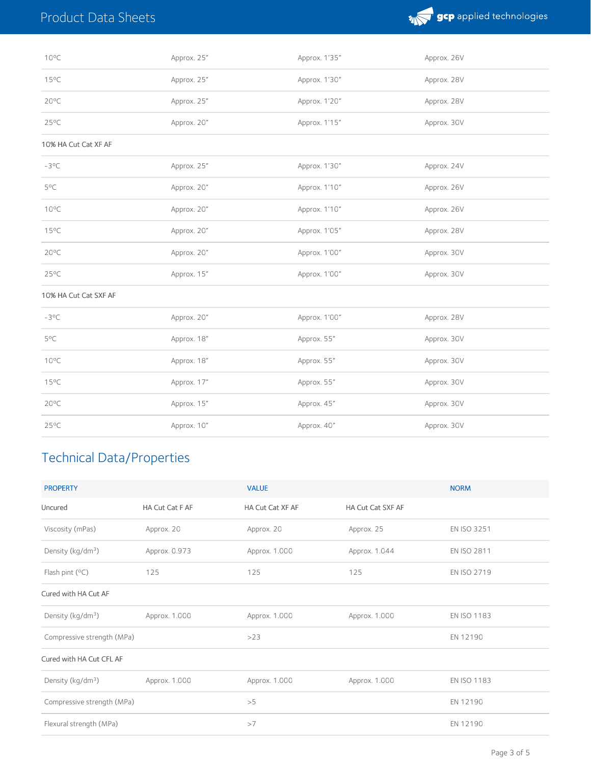

| $10^{\circ}$ C        | Approx. 25" | Approx. 1'35" | Approx. 26V |
|-----------------------|-------------|---------------|-------------|
| 15°C                  | Approx. 25" | Approx. 1'30" | Approx. 28V |
| $20^{\circ}$ C        | Approx. 25" | Approx. 1'20" | Approx. 28V |
| $25^{\circ}$ C        | Approx. 20" | Approx. 1'15" | Approx. 30V |
| 10% HA Cut Cat XF AF  |             |               |             |
| $-3^{\circ}C$         | Approx. 25" | Approx. 1'30" | Approx. 24V |
| 5°C                   | Approx. 20" | Approx. 1'10" | Approx. 26V |
| $10^{\circ}$ C        | Approx. 20" | Approx. 1'10" | Approx. 26V |
| $15^{\circ}$ C        | Approx. 20" | Approx. 1'05" | Approx. 28V |
| $20^{\circ}$ C        | Approx. 20" | Approx. 1'00" | Approx. 30V |
| 25°C                  | Approx. 15" | Approx. 1'00" | Approx. 30V |
| 10% HA Cut Cat SXF AF |             |               |             |
| $-3^{\circ}C$         | Approx. 20" | Approx. 1'00" | Approx. 28V |
| 5°C                   | Approx. 18" | Approx. 55"   | Approx. 30V |
| $10^{\circ}$ C        | Approx. 18" | Approx. 55"   | Approx. 30V |
| $15^{\circ}$ C        | Approx. 17" | Approx. 55"   | Approx. 30V |
| $20^{\circ}$ C        | Approx. 15" | Approx. 45"   | Approx. 30V |
| $25^{\circ}$ C        | Approx. 10" | Approx. 40"   | Approx. 30V |

# Technical Data/Properties

| <b>PROPERTY</b>               |                 | <b>VALUE</b>     |                   | <b>NORM</b>        |
|-------------------------------|-----------------|------------------|-------------------|--------------------|
| Uncured                       | HA Cut Cat F AF | HA Cut Cat XF AF | HA Cut Cat SXF AF |                    |
| Viscosity (mPas)              | Approx. 20      | Approx. 20       | Approx. 25        | <b>EN ISO 3251</b> |
| Density (kg/dm <sup>3</sup> ) | Approx. 0.973   | Approx. 1.000    | Approx. 1.044     | <b>EN ISO 2811</b> |
| Flash pint $(°C)$             | 125             | 125              | 125               | EN ISO 2719        |
| Cured with HA Cut AF          |                 |                  |                   |                    |
| Density (kg/dm <sup>3</sup> ) | Approx. 1.000   | Approx. 1.000    | Approx. 1.000     | <b>EN ISO 1183</b> |
| Compressive strength (MPa)    |                 | >23              |                   | EN 12190           |
| Cured with HA Cut CFL AF      |                 |                  |                   |                    |
| Density (kg/dm <sup>3</sup> ) | Approx. 1.000   | Approx. 1.000    | Approx. 1.000     | EN ISO 1183        |
| Compressive strength (MPa)    |                 | >5               |                   | EN 12190           |
| Flexural strength (MPa)       |                 | >7               |                   | EN 12190           |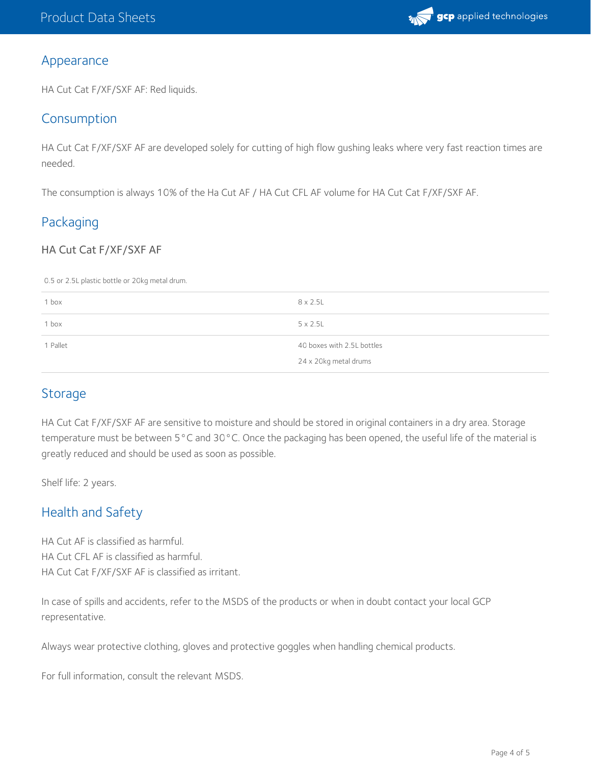

### Appearance

HA Cut Cat F/XF/SXF AF: Red liquids.

## Consumption

HA Cut Cat F/XF/SXF AF are developed solely for cutting of high flow gushing leaks where very fast reaction times are needed.

The consumption is always 10% of the Ha Cut AF / HA Cut CFL AF volume for HA Cut Cat F/XF/SXF AF.

# Packaging

### HA Cut Cat F/XF/SXF AF

0.5 or 2.5L plastic bottle or 20kg metal drum.

| 1 box    | $8 \times 2.5$ L           |
|----------|----------------------------|
| 1 box    | $5 \times 2.5$ L           |
| 1 Pallet | 40 boxes with 2.5L bottles |
|          | 24 x 20kg metal drums      |

## **Storage**

HA Cut Cat F/XF/SXF AF are sensitive to moisture and should be stored in original containers in a dry area. Storage temperature must be between 5°C and 30°C. Once the packaging has been opened, the useful life of the material is greatly reduced and should be used as soon as possible.

Shelf life: 2 years.

# Health and Safety

HA Cut AF is classified as harmful. HA Cut CFL AF is classified as harmful. HA Cut Cat F/XF/SXF AF is classified as irritant.

In case of spills and accidents, refer to the MSDS of the products or when in doubt contact your local GCP representative.

Always wear protective clothing, gloves and protective goggles when handling chemical products.

For full information, consult the relevant MSDS.